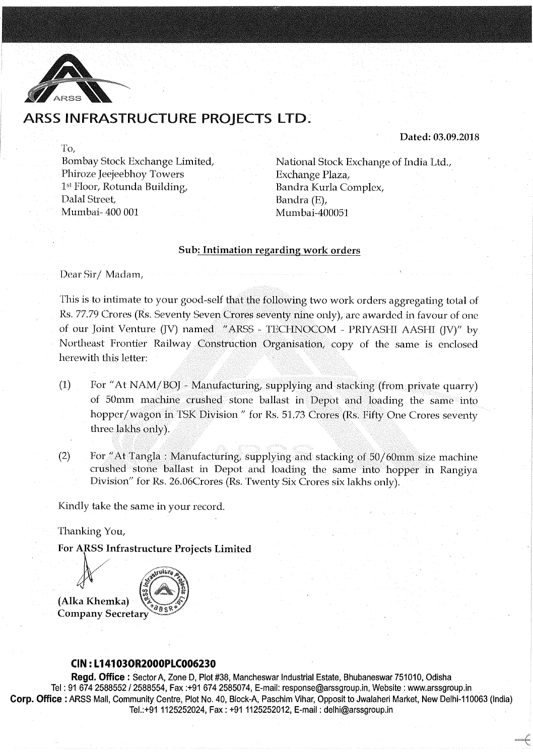

To,

# ARSS INFRASTRUCTURE PROJECTS LTD.

Dated: 03.09.2018

Bombay Stock Exchange Limited, Phiroze Jeejeebhoy Towers 1st Floor, Rotunda Building, Dalal Street. Mumbai- 400 001

National Stock Exchange of India Ltd., Exchange Plaza, Bandra Kurla Complex, Bandra (E), Mumbai-400051

### Sub: Intimation regarding work orders

Dear Sir/ Madam,

This is to intimate to your good-self that the following two work orders aggregating total of Rs. 77.79 Crores (Rs. Seventy Seven Crores seventy nine only), arc awarded in favour of one of our Joint Venture (JV) named "ARSS - TECHNOCOM - PRIYASHI AASHI (JV)" by Northeast Frontier Railway Construction Organisation, copy of the same is enclosed herewith this letter:

- (1) For "At NAM/BOJ- Manufacturing, supplying and stacking (from private quarry) of 50mm machine crushed stone ballast in Depot and loading the same into hopper/wagon in TSK Division" for Rs. 51.73 Crores (Rs. Fifty One Crores seventy three lakhs only).
- $(2)$  For "At Tangla : Manufacturing, supplying and stacking of 50/60mm size machine crushed stone ballast in Depot and loading the same into hopper in Rangiya Division" for Rs. 26.06Crores (Rs. Twenty Six Crores six lakhs only).

Kindly take the same in your record.

Thanking You,

For ARSS Infrastructure Projects Limited



## CIN:L141030R2000PlC006230

Regd. Office : Sector A, Zone D, Plot #38, Mancheswar Industrial Estate, Bhubaneswar 751010, Odisha Tel: 91 674 2588552 I 2588554, Fax :+91 674 2585074, E-mail: response@arssgroup.in, Website: www.arssgroup.in Corp. Office: ARSS Mall, Community Centre, Plot No. 40, Block-A, Paschim Vihar, Opposit to Jwalaheri Market, New Delhi-110063 (India) Tel.:+911125252024, Fax: +911125252012, E-mail: delhi@arssgroup.in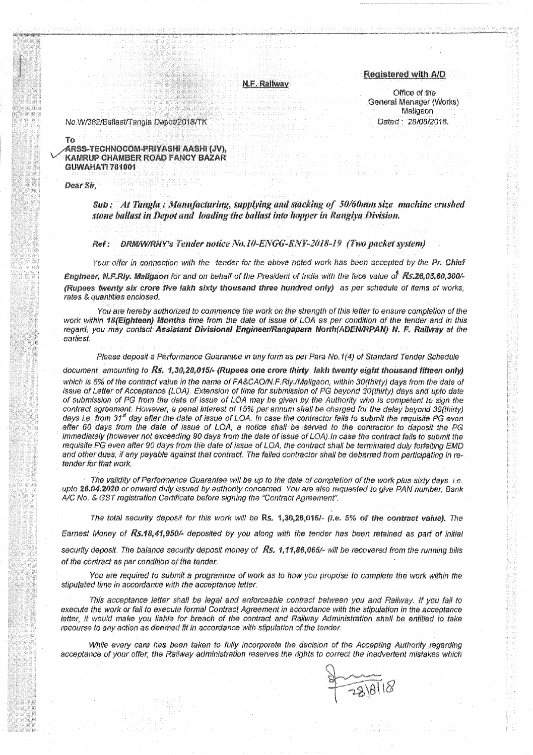N.F. Rallway

**Registered with A/D** 

Office of the General Manager (Works) Maligaon Dated: 28/08/2018.

No.W/362/Ballast/Tangla Depot/2018/TK

#### $T<sub>0</sub>$ ARSS-TECHNOCOM-PRIYASHI AASHI (JV), KAMRUP CHAMBER ROAD FANCY BAZAR GUWAHATI 781001

Dear Sir.

Sub: At Tangla: Manufacturing, supplying and stacking of 50/60mm size machine crushed stone ballast in Depot and loading the ballast into hopper in Rangiya Division.

#### DRM/W/RNY's Tender notice No.10-ENGG-RNY-2018-19 (Two packet system) Ref:

Your offer in connection with the tender for the above noted work has been accepted by the Pr. Chief Engineer, N.F.Riy. Maligaon for and on behalf of the President of India with the face value of Rs.26,05,60,300/-(Rupees twenty six crore five lakh sixty thousand three hundred only) as per schedule of items of works. rates & quantities enclosed.

You are hereby authorized to commence the work on the strength of this letter to ensure completion of the work within 18(Eighteen) Months time from the date of issue of LOA as per condition of the tender and in this regard, you may contact Assistant Divisional Engineer/Rangapara North(ADEN/RPAN) N. F. Railway at the earliest.

Please deposit a Performance Guarantee in any form as per Para No.1(4) of Standard Tender Schedule

document amounting to Rs. 1,30,28,015/- (Rupees one crore thirty lakh twenty eight thousand fifteen only) which is 5% of the contract value in the name of FA&CAO/N.F.Rly./Maligaon, within 30(thirty) days from the date of issue of Letter of Acceptance (LOA). Extension of time for submission of PG beyond 30(thirty) days and upto date of submission of PG from the date of issue of LOA may be given by the Authority who is competent to sign the contract agreement. However, a penal interest of 15% per annum shall be charged for the delay beyond 30(thirty) days i.e. from 31<sup>st</sup> day after the date of issue of LOA. In case the contractor fails to submit the requisite PG even after 60 days from the date of issue of LOA, a notice shall be served to the contractor to deposit the PG immediately (however not exceeding 90 days from the date of issue of LOA). In case the contract fails to submit the requisite PG even after 90 days from the date of issue of LOA, the contract shall be terminated duly forfeiting EMD and other dues, if any payable against that contract. The failed contractor shall be debarred from participating in retender for that work.

The validity of Performance Guarantee will be up to the date of completion of the work plus sixty days i.e. upto 26.04.2020 or onward duly issued by authority concerned. You are also requested to give PAN number, Bank A/C No. & GST registration Certificate before signing the "Contract Agreement".

The total security deposit for this work will be Rs. 1,30,28,015/- (i.e. 5% of the contract value). The

Earnest Money of Rs.18,41,950/- deposited by you along with the tender has been retained as part of initial

security deposit. The balance security deposit money of Rs. 1,11,86,065/- will be recovered from the running bills of the contract as per condition of the tender.

You are required to submit a programme of work as to how you propose to complete the work within the stipulated time in accordance with the acceptance letter.

This acceptance letter shall be legal and enforceable contract between you and Railway. If you fail to execute the work or fail to execute formal Contract Agreement in accordance with the stipulation in the acceptance letter, it would make you liable for breach of the contract and Railway Administration shall be entitled to take recourse to any action as deemed fit in accordance with stipulation of the tender.

While every care has been taken to fully incorporate the decision of the Accepting Authority regarding acceptance of your offer, the Railway administration reserves the rights to correct the inadvertent mistakes which

 $291818$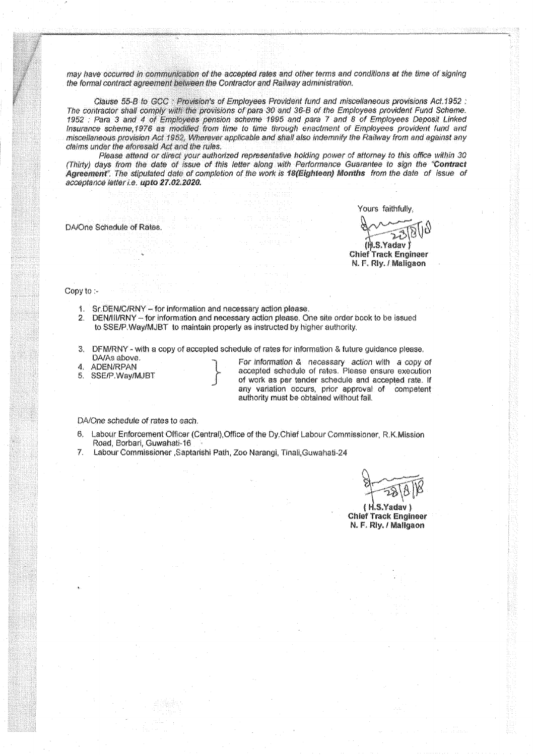may have occurred in communication of the accepted rates and other terms and conditions at the time of signing the formal contract agreement between the Contractor and Railway administration.

Clause 55-B to GCC : Provision's of Employees Provident fund and miscellaneous provisions Act.1952 : The contractor shall comply with the provisions of para 30 and 36-B of the Employees provident Fund Scheme. 1952 : Para 3 and 4 of Employees pension scheme 1995 and para 7 and 8 of Employees Deposit Linked Insurance scheme, 1976 as modified from time to time through enactment of Employees provident fund and miscellaneous provision Act 1952, Wherever applicable and shall also indemnify the Railway from and against any claims under the aforesaid Act and the rules.

Please attend or direct your authorized representative holding power of attorney to this office within 30 (Thirty) days from the date of issue of this letter along with Performance Guarantee to sign the "Contract Agreement". The stipulated date of completion of the work is 18(Eighteen) Months from the date of issue of acceptance letter i.e. upto 27.02.2020.

DA/One Schedule of Rates.

Yours faithfully,

 $(h.S.Yadav)$ **Chlef Track Engineer** N. F. Rly. / Maligaon

#### Copy to :-

- 1. Sr.DEN/C/RNY for information and necessary action please.
- 2. DEN/III/RNY for information and necessary action please. One site order book to be issued to SSE/P. Way/MJBT to maintain properly as instructed by higher authority.
- 3. DFM/RNY with a copy of accepted schedule of rates for information & future guidance please. DA/As above.
- **ADEN/RPAN** 4.
- SSE/P.Way/MJBT  $5 -$

For information & necessary action with a copy of accepted schedule of rates. Please ensure execution of work as per tender schedule and accepted rate. If any variation occurs, prior approval of competent authority must be obtained without fail.

DA/One schedule of rates to each.

- Labour Enforcement Officer (Central) Office of the Dy Chief Labour Commissioner, R.K.Mission 6. Road, Borbari, Guwahati-16
- 7. Labour Commissioner ,Saptarishi Path, Zoo Narangi, Tinali,Guwahati-24

(H.S.Yadav) **Chief Track Engineer** N. F. Rly. / Mallgaon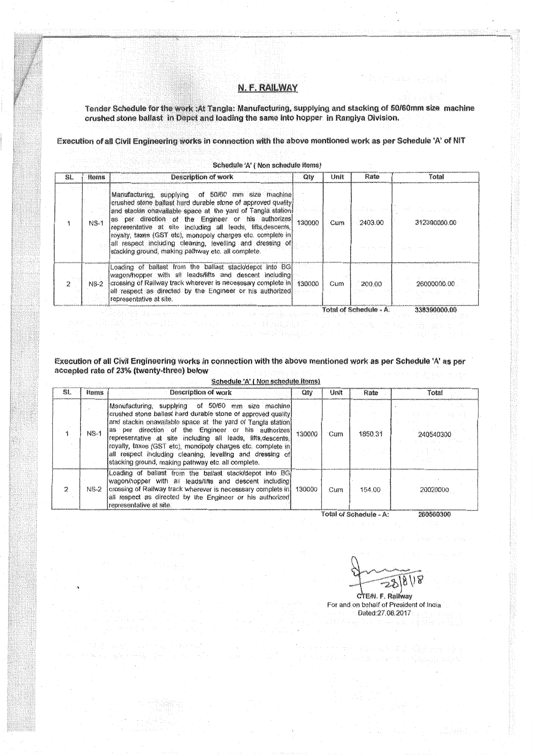### N.F. RAILWAY

Tender Schedule for the work :At Tangla: Manufacturing, supplying and stacking of 50/60mm size machine crushed stone ballast in Depot and loading the same into hopper in Rangiya Division.

Execution of all Civil Engineering works in connection with the above mentioned work as per Schedule 'A' of NIT

| SL. | <b>Items</b> | Description of work                                                                                                                                                                                                                                                                                                                                                                                                                                                                        | Qiv    | Unit | Rate    | Total        |
|-----|--------------|--------------------------------------------------------------------------------------------------------------------------------------------------------------------------------------------------------------------------------------------------------------------------------------------------------------------------------------------------------------------------------------------------------------------------------------------------------------------------------------------|--------|------|---------|--------------|
|     | $NS-1$       | Manufacturing, supplying of 50/60 mm size machine<br>crushed stone ballast hard durable stone of approved quality.<br>and stackin onavailable space at the yard of Tangla station<br>as per direction of the Engineer or his authorizes<br>representative at site including all leads, lifts, descents,<br>irovalty, taxes (GST etc), monopoly charges etc, complete in<br>all respect including cleaning, levelling and dressing of<br>stacking ground, making pathway etc. all complete. | 130000 | Cum  | 2403.00 | 312390000.00 |
|     | $NS-2$       | Loading of ballast from the ballast stack/depot into BGI<br>wagon/hopper with all leads/lifts and descent including<br>crossing of Railway track wherever is necesssary complete in 130000<br>all respect as directed by the Engineer or his authorized<br>representative at site.                                                                                                                                                                                                         |        | Cum  | 200.00  | 26000000.00  |

Execution of all Civil Engineering works in connection with the above mentioned work as per Schedule 'A' as per accepted rate of 23% (twenty-three) below

Schedule 'A' (Non schedule items)

| SL. | Items  | Description of work                                                                                                                                                                                                                                                                                                                                                                                                                                                                       | $\alpha$ | Unit | Rate    | Total     |
|-----|--------|-------------------------------------------------------------------------------------------------------------------------------------------------------------------------------------------------------------------------------------------------------------------------------------------------------------------------------------------------------------------------------------------------------------------------------------------------------------------------------------------|----------|------|---------|-----------|
|     | $NS-1$ | Manufacturing, supplying of 50/60 mm size machine<br>crushed stone ballast hard durable stone of approved quality<br>and stackin onavailable space at the yard of Tangla station!<br>as per direction of the Engineer or his authorizes<br>representative at site including all leads, lifts, descents,<br>royalty, taxes (GST etc), monopoly charges etc. complete in<br>all respect including cleaning, levelling and dressing of<br>stacking ground, making pathway etc. all complete. | 130000   | Cum  | 1850.31 | 240540300 |
| 2   | NS-2   | Loading of ballast from the ballast stack/depot into BG<br>wagon/hopper with all leads/lifts and descent including)<br>crossing of Railway track wherever is necesssary complete in 130000<br>all respect as directed by the Engineer or his authorized<br>representative at site.                                                                                                                                                                                                        |          | Cum  | 154.00  | 20020000  |

 $18118$ ్రాస్

CTE/N. F. Rallway For and on behalf of President of India Dated:27.08.2017

医过度功能器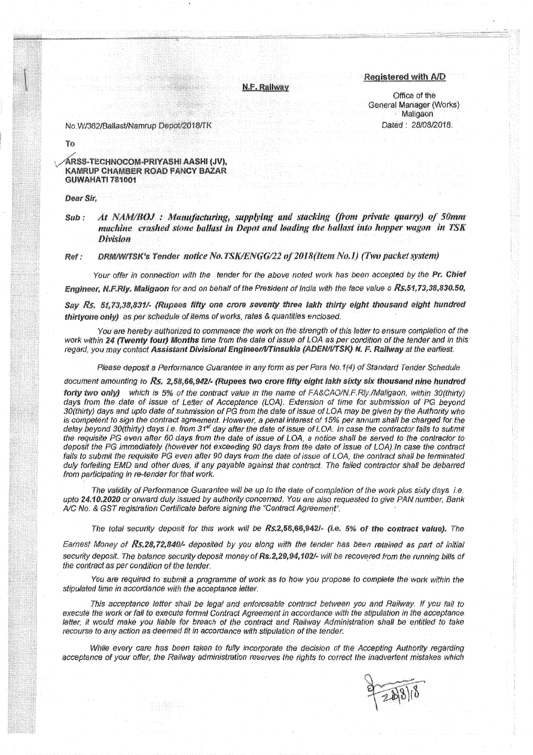N.F. Railway

#### Registered with A/D

Office of the General Manager (Works) Maligaon Dated: 28/08/2018.

No.W/362/Ballast/Namrup Depot/2018/TK

To

ÁRSS-TECHNOCOM-PRIYASHI AASHI (JV), **KAMRUP CHAMBER ROAD FANCY BAZAR GUWAHATI 781001** 

Dear Sir.

At NAM/BOJ: Manufacturing, supplying and stacking (from private quarry) of 50mm Sub: machine crushed stone ballast in Depot and loading the ballast into hopper wagon in TSK **Division** 

DRM/W/TSK's Tender notice No.TSK/ENGG/22 of 2018(Item No.1) (Two packet system) Ref:

Your offer in connection with the tender for the above noted work has been accepted by the Pr. Chief Engineer, N.F.Rly. Maligaon for and on behalf of the President of India with the face value o Rs.51.73.38,830.50.

Say Rs. 51,73,38,831/- (Rupees fifty one crore seventy three lakh thirty eight thousand eight hundred thirtyone only) as per schedule of items of works, rates & quantities enclosed.

You are hereby authorized to commence the work on the strength of this letter to ensure completion of the work within 24 (Twenty four) Months time from the date of issue of LOA as per condition of the tender and in this regard, you may contact Assistant Divisional Engineer/VTinsukia (ADEN/I/TSK) N. F. Railway at the earliest.

Please deposit a Performance Guarantee in any form as per Para No.1(4) of Standard Tender Schedule

document amounting to Rs. 2,58,66,942/- (Rupees two crore fifty eight lakh sixty six thousand nine hundred forty two only) which is 5% of the contract value in the name of FA&CAO/N.F.Rly./Maligaon, within 30(thirty) days from the date of issue of Letter of Acceptance (LOA). Extension of time for submission of PG beyond 30(thirty) days and upto date of submission of PG from the date of issue of LOA may be given by the Authority who is competent to sign the contract agreement. However, a penal interest of 15% per annum shall be charged for the delay beyond 30(thirty) days i.e. from 31<sup>et</sup> day after the date of issue of LOA. In case the contractor fails to submit the requisite PG even after 60 days from the date of issue of LOA, a notice shall be served to the contractor to deposit the PG immediately (however not exceeding 90 days from the date of issue of LOA). In case the contract fails to submit the requisite PG even after 90 days from the date of issue of LOA, the contract shall be terminated duly forfeiting EMD and other dues, if any payable against that contract. The failed contractor shall be debarred from participating in re-tender for that work.

The validity of Performance Guarantee will be up to the date of completion of the work plus sixty days i.e. upto 24.10.2020 or onward duly issued by authority concerned. You are also requested to give PAN number, Bank A/C No. & GST registration Certificate before signing the "Contract Agreement".

The total security deposit for this work will be Rs.2,58,66,942l- (i.e. 5% of the contract value). The

Earnest Money of Rs.28,72,840/- deposited by you along with the tender has been retained as part of initial security deposit. The balance security deposit money of Rs.2,29,94,102/- will be recovered from the running bills of the contract as per condition of the tender.

You are required to submit a programme of work as to how you propose to complete the work within the stipulated time in accordance with the acceptance letter.

This acceptance letter shall be legal and enforceable contract between you and Railway. If you fail to execute the work or fail to execute formal Contract Agreement in accordance with the stipulation in the acceptance. letter, it would make you liable for breach of the contract and Railway Administration shall be entitled to take recourse to any action as deemed fit in accordance with stipulation of the tender.

While every care has been taken to fully incorporate the decision of the Accepting Authority regarding acceptance of your offer, the Railway administration reserves the rights to correct the inadvertent mistakes which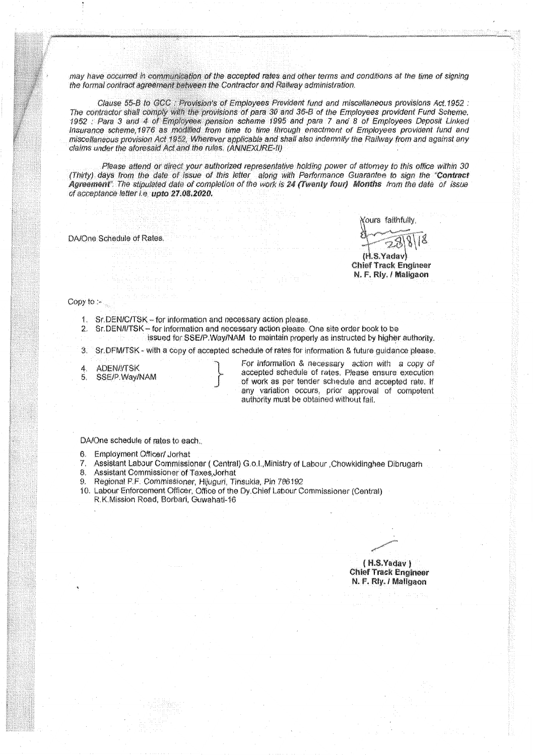may have occurred in communication of the accepted rates and other terms and conditions at the time of signing the formal contract agreement between the Contractor and Railway administration.

Clause 55-B to GCC : Provision's of Employees Provident fund and miscellaneous provisions Act. 1952 : The contractor shall comply with the provisions of para 30 and 36-B of the Employees provident Fund Scheme. 1952 : Para 3 and 4 of Employees pension scheme 1995 and para 7 and 8 of Employees Deposit Linked Insurance scheme, 1976 as modified from time to time through enactment of Employees provident fund and miscellaneous provision Act 1952, Wherever applicable and shall also indemnify the Railway from and against any claims under the aforesaid Act and the rules. (ANNEXURE-II)

Please attend or direct your authorized representative holding power of attorney to this office within 30 (Thirty) days from the date of issue of this letter along with Performance Guarantee to sign the "Contract Agreement". The stipulated date of completion of the work is 24 (Twenty four) Months from the date of issue of acceptance letter i.e. upto 27.08.2020.

DA/One Schedule of Rates.

**Xours faithfully** (H.S.Yadav)

**Chief Track Engineer** N. F. Rly. / Maligaon

Copy to:

- 1. Sr.DEN/C/TSK for information and necessary action please.
- 2. Sr.DEN/I/TSK for information and necessary action please. One site order book to be
	- issued for SSE/P Way/NAM to maintain properly as instructed by higher authority.

Sr. DFM/TSK - with a copy of accepted schedule of rates for information & future guidance please. 3.

**ADEN/I/TSK** 4. 5.

SSE/P.Way/NAM

For information & necessary action with a copy of accepted schedule of rates. Please ensure execution of work as per tender schedule and accepted rate. If any variation occurs, prior approval of competent authority must be obtained without fail.

DA/One schedule of rates to each.

- 6. Employment Officer/ Jornat
- Assistant Labour Commissioner (Central) G.o.l. Ministry of Labour Chowkidinghee Dibrugarh  $\overline{7}$
- Assistant Commissioner of Taxes Jornat 8.
- 9. Regional P.F. Commissioner, Hijuguri, Tinsukia, Pin 786192
- 10. Labour Enforcement Officer, Office of the Dy Chief Labour Commissioner (Central) R.K.Mission Road, Borbari, Guwahati-16

 $(H.S.Yada)$ **Chief Track Engineer** N. F. Rly. / Maligaon